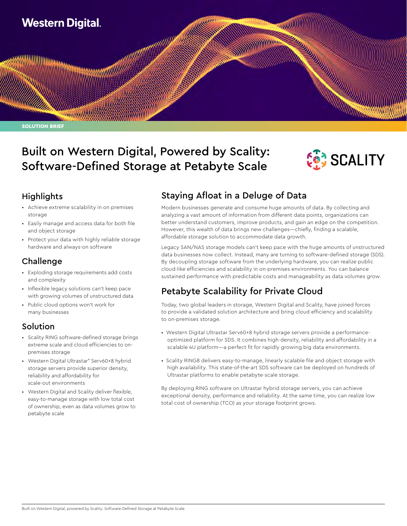

# Built on Western Digital, Powered by Scality: Software-Defined Storage at Petabyte Scale



## **Highlights**

- Achieve extreme scalability in on premises storage
- Easily manage and access data for both file and object storage
- Protect your data with highly reliable storage hardware and always-on software

## Challenge

- Exploding storage requirements add costs and complexity
- Inflexible legacy solutions can't keep pace with growing volumes of unstructured data
- Public cloud options won't work for many businesses

## Solution

- Scality RING software-defined storage brings extreme scale and cloud efficiencies to onpremises storage
- Western Digital Ultrastar® Serv60+8 hybrid storage servers provide superior density, reliability and affordability for scale-out environments
- Western Digital and Scality deliver flexible, easy-to-manage storage with low total cost of ownership, even as data volumes grow to petabyte scale

## Staying Afloat in a Deluge of Data

Modern businesses generate and consume huge amounts of data. By collecting and analyzing a vast amount of information from different data points, organizations can better understand customers, improve products, and gain an edge on the competition. However, this wealth of data brings new challenges—chiefly, finding a scalable, affordable storage solution to accommodate data growth.

Legacy SAN/NAS storage models can't keep pace with the huge amounts of unstructured data businesses now collect. Instead, many are turning to software-defined storage (SDS). By decoupling storage software from the underlying hardware, you can realize public cloud-like efficiencies and scalability in on-premises environments. You can balance sustained performance with predictable costs and manageability as data volumes grow.

## Petabyte Scalability for Private Cloud

Today, two global leaders in storage, Western Digital and Scality, have joined forces to provide a validated solution architecture and bring cloud efficiency and scalability to on-premises storage.

- Western Digital Ultrastar Serv60+8 hybrid storage servers provide a performanceoptimized platform for SDS. It combines high-density, reliability and affordability in a scalable 4U platform—a perfect fit for rapidly growing big data environments.
- Scality RING8 delivers easy-to-manage, linearly scalable file and object storage with high availability. This state-of-the-art SDS software can be deployed on hundreds of Ultrastar platforms to enable petabyte-scale storage.

By deploying RING software on Ultrastar hybrid storage servers, you can achieve exceptional density, performance and reliability. At the same time, you can realize low total cost of ownership (TCO) as your storage footprint grows.